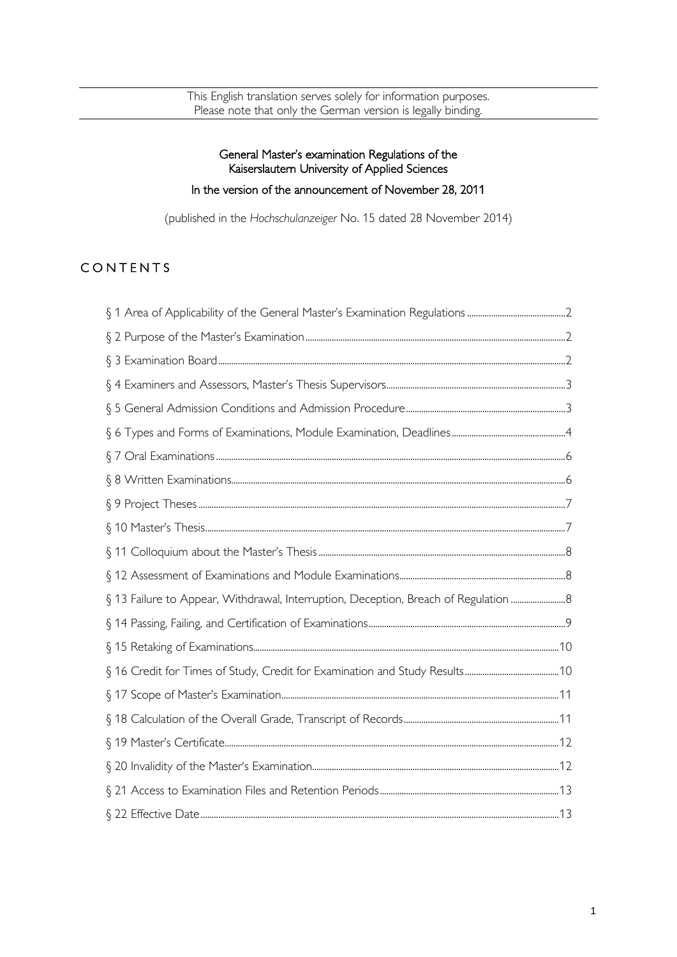This English translation serves solely for information purposes. Please note that only the German version is legally binding.

### General Master's examination Regulations of the Kaiserslautern University of Applied Sciences

# In the version of the announcement of November 28, 2011

(published in the *Hochschulanzeiger* No. 15 dated 28 November 2014)

# **CONTENTS**

| § 13 Failure to Appear, Withdrawal, Interruption, Deception, Breach of Regulation  8 |  |
|--------------------------------------------------------------------------------------|--|
|                                                                                      |  |
|                                                                                      |  |
|                                                                                      |  |
|                                                                                      |  |
|                                                                                      |  |
|                                                                                      |  |
|                                                                                      |  |
|                                                                                      |  |
|                                                                                      |  |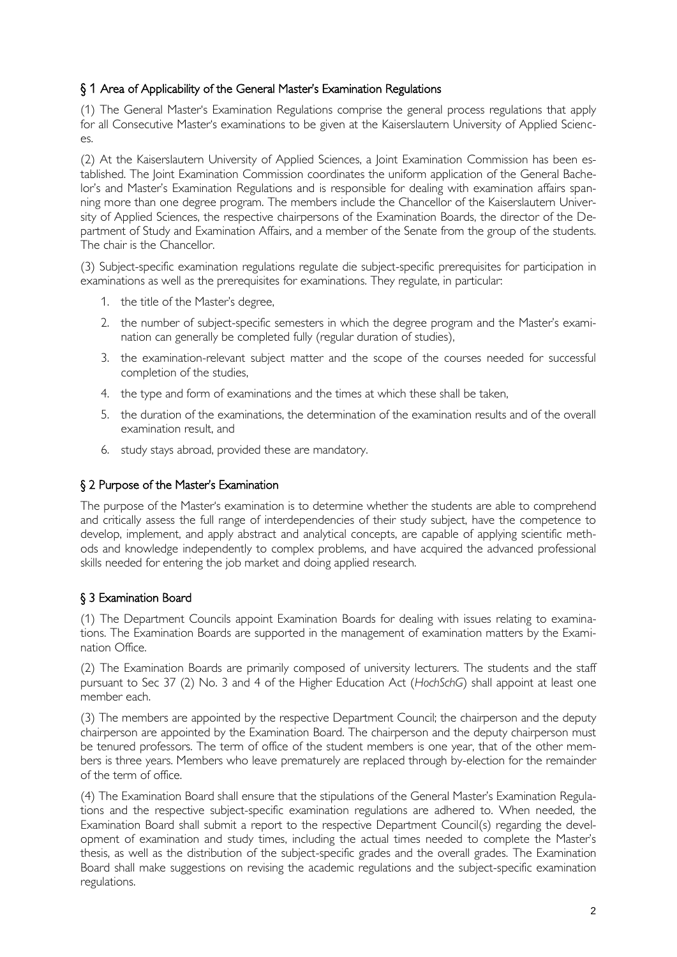### <span id="page-1-0"></span>§ 1 Area of Applicability of the General Master's Examination Regulations

(1) The General Master's Examination Regulations comprise the general process regulations that apply for all Consecutive Master's examinations to be given at the Kaiserslautern University of Applied Scienc- $AC$ 

(2) At the Kaiserslautern University of Applied Sciences, a Joint Examination Commission has been established. The Joint Examination Commission coordinates the uniform application of the General Bachelor's and Master's Examination Regulations and is responsible for dealing with examination affairs spanning more than one degree program. The members include the Chancellor of the Kaiserslautern University of Applied Sciences, the respective chairpersons of the Examination Boards, the director of the Department of Study and Examination Affairs, and a member of the Senate from the group of the students. The chair is the Chancellor.

(3) Subject-specific examination regulations regulate die subject-specific prerequisites for participation in examinations as well as the prerequisites for examinations. They regulate, in particular:

- 1. the title of the Master's degree,
- 2. the number of subject-specific semesters in which the degree program and the Master's examination can generally be completed fully (regular duration of studies),
- 3. the examination-relevant subject matter and the scope of the courses needed for successful completion of the studies,
- 4. the type and form of examinations and the times at which these shall be taken,
- 5. the duration of the examinations, the determination of the examination results and of the overall examination result, and
- 6. study stays abroad, provided these are mandatory.

#### <span id="page-1-1"></span>§ 2 Purpose of the Master's Examination

The purpose of the Master's examination is to determine whether the students are able to comprehend and critically assess the full range of interdependencies of their study subject, have the competence to develop, implement, and apply abstract and analytical concepts, are capable of applying scientific methods and knowledge independently to complex problems, and have acquired the advanced professional skills needed for entering the job market and doing applied research.

### <span id="page-1-2"></span>§ 3 Examination Board

(1) The Department Councils appoint Examination Boards for dealing with issues relating to examinations. The Examination Boards are supported in the management of examination matters by the Examination Office.

(2) The Examination Boards are primarily composed of university lecturers. The students and the staff pursuant to Sec 37 (2) No. 3 and 4 of the Higher Education Act (*HochSchG*) shall appoint at least one member each.

(3) The members are appointed by the respective Department Council; the chairperson and the deputy chairperson are appointed by the Examination Board. The chairperson and the deputy chairperson must be tenured professors. The term of office of the student members is one year, that of the other members is three years. Members who leave prematurely are replaced through by-election for the remainder of the term of office.

(4) The Examination Board shall ensure that the stipulations of the General Master's Examination Regulations and the respective subject-specific examination regulations are adhered to. When needed, the Examination Board shall submit a report to the respective Department Council(s) regarding the development of examination and study times, including the actual times needed to complete the Master's thesis, as well as the distribution of the subject-specific grades and the overall grades. The Examination Board shall make suggestions on revising the academic regulations and the subject-specific examination regulations.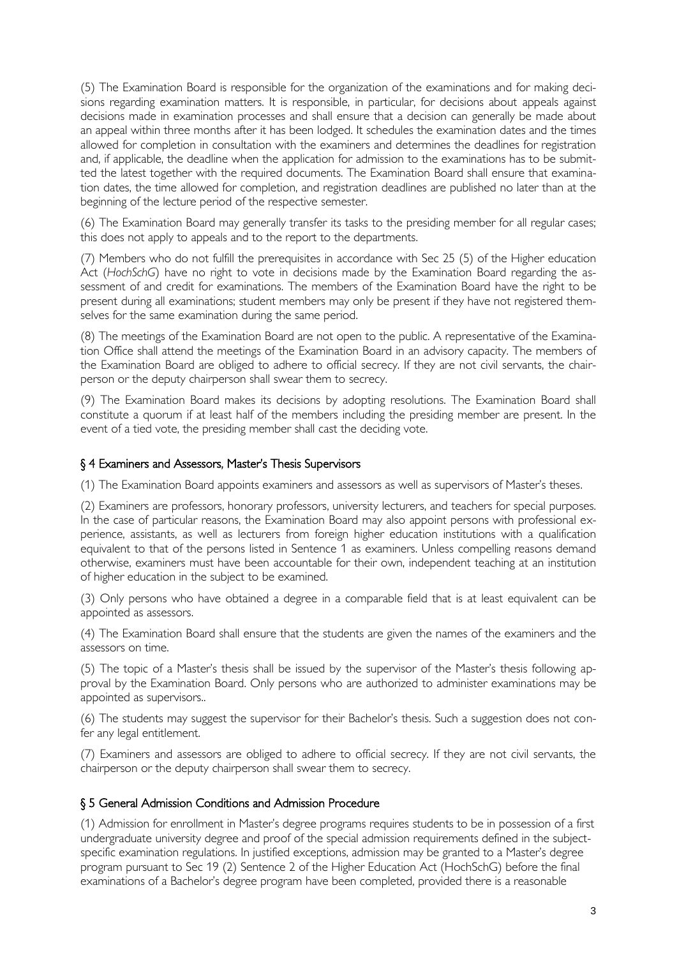(5) The Examination Board is responsible for the organization of the examinations and for making decisions regarding examination matters. It is responsible, in particular, for decisions about appeals against decisions made in examination processes and shall ensure that a decision can generally be made about an appeal within three months after it has been lodged. It schedules the examination dates and the times allowed for completion in consultation with the examiners and determines the deadlines for registration and, if applicable, the deadline when the application for admission to the examinations has to be submitted the latest together with the required documents. The Examination Board shall ensure that examination dates, the time allowed for completion, and registration deadlines are published no later than at the beginning of the lecture period of the respective semester.

(6) The Examination Board may generally transfer its tasks to the presiding member for all regular cases; this does not apply to appeals and to the report to the departments.

(7) Members who do not fulfill the prerequisites in accordance with Sec 25 (5) of the Higher education Act (*HochSchG*) have no right to vote in decisions made by the Examination Board regarding the assessment of and credit for examinations. The members of the Examination Board have the right to be present during all examinations; student members may only be present if they have not registered themselves for the same examination during the same period.

(8) The meetings of the Examination Board are not open to the public. A representative of the Examination Office shall attend the meetings of the Examination Board in an advisory capacity. The members of the Examination Board are obliged to adhere to official secrecy. If they are not civil servants, the chairperson or the deputy chairperson shall swear them to secrecy.

(9) The Examination Board makes its decisions by adopting resolutions. The Examination Board shall constitute a quorum if at least half of the members including the presiding member are present. In the event of a tied vote, the presiding member shall cast the deciding vote.

#### <span id="page-2-0"></span>§ 4 Examiners and Assessors, Master's Thesis Supervisors

(1) The Examination Board appoints examiners and assessors as well as supervisors of Master's theses.

(2) Examiners are professors, honorary professors, university lecturers, and teachers for special purposes. In the case of particular reasons, the Examination Board may also appoint persons with professional experience, assistants, as well as lecturers from foreign higher education institutions with a qualification equivalent to that of the persons listed in Sentence 1 as examiners. Unless compelling reasons demand otherwise, examiners must have been accountable for their own, independent teaching at an institution of higher education in the subject to be examined.

(3) Only persons who have obtained a degree in a comparable field that is at least equivalent can be appointed as assessors.

(4) The Examination Board shall ensure that the students are given the names of the examiners and the assessors on time.

(5) The topic of a Master's thesis shall be issued by the supervisor of the Master's thesis following approval by the Examination Board. Only persons who are authorized to administer examinations may be appointed as supervisors..

(6) The students may suggest the supervisor for their Bachelor's thesis. Such a suggestion does not confer any legal entitlement.

(7) Examiners and assessors are obliged to adhere to official secrecy. If they are not civil servants, the chairperson or the deputy chairperson shall swear them to secrecy.

#### <span id="page-2-1"></span>§ 5 General Admission Conditions and Admission Procedure

(1) Admission for enrollment in Master's degree programs requires students to be in possession of a first undergraduate university degree and proof of the special admission requirements defined in the subjectspecific examination regulations. In justified exceptions, admission may be granted to a Master's degree program pursuant to Sec 19 (2) Sentence 2 of the Higher Education Act (HochSchG) before the final examinations of a Bachelor's degree program have been completed, provided there is a reasonable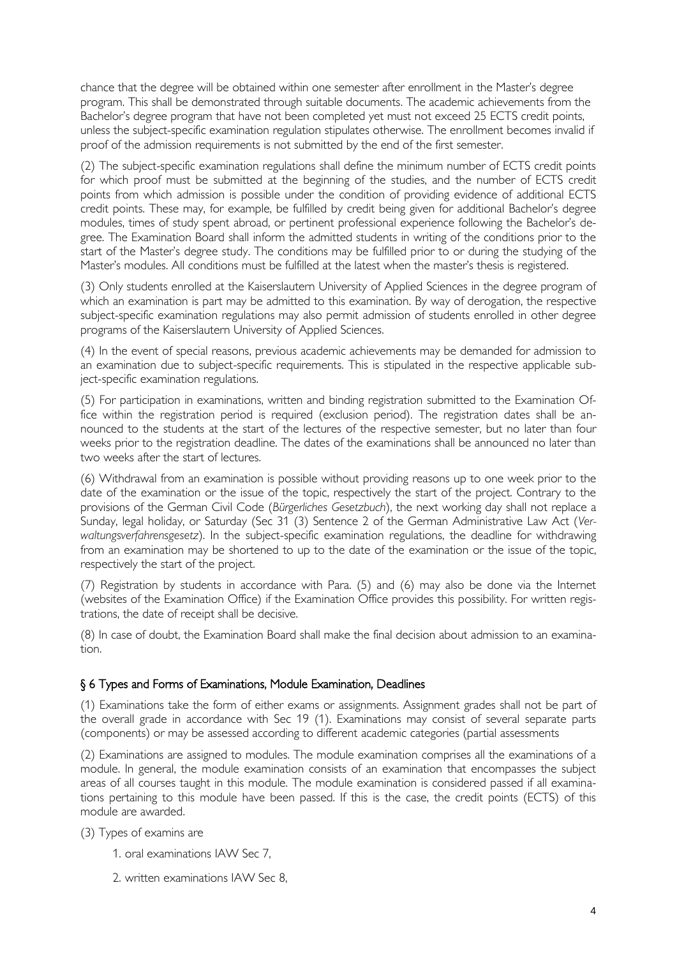chance that the degree will be obtained within one semester after enrollment in the Master's degree program. This shall be demonstrated through suitable documents. The academic achievements from the Bachelor's degree program that have not been completed yet must not exceed 25 ECTS credit points, unless the subject-specific examination regulation stipulates otherwise. The enrollment becomes invalid if proof of the admission requirements is not submitted by the end of the first semester.

(2) The subject-specific examination regulations shall define the minimum number of ECTS credit points for which proof must be submitted at the beginning of the studies, and the number of ECTS credit points from which admission is possible under the condition of providing evidence of additional ECTS credit points. These may, for example, be fulfilled by credit being given for additional Bachelor's degree modules, times of study spent abroad, or pertinent professional experience following the Bachelor's degree. The Examination Board shall inform the admitted students in writing of the conditions prior to the start of the Master's degree study. The conditions may be fulfilled prior to or during the studying of the Master's modules. All conditions must be fulfilled at the latest when the master's thesis is registered.

(3) Only students enrolled at the Kaiserslautern University of Applied Sciences in the degree program of which an examination is part may be admitted to this examination. By way of derogation, the respective subject-specific examination regulations may also permit admission of students enrolled in other degree programs of the Kaiserslautern University of Applied Sciences.

(4) In the event of special reasons, previous academic achievements may be demanded for admission to an examination due to subject-specific requirements. This is stipulated in the respective applicable subject-specific examination regulations.

(5) For participation in examinations, written and binding registration submitted to the Examination Office within the registration period is required (exclusion period). The registration dates shall be announced to the students at the start of the lectures of the respective semester, but no later than four weeks prior to the registration deadline. The dates of the examinations shall be announced no later than two weeks after the start of lectures.

(6) Withdrawal from an examination is possible without providing reasons up to one week prior to the date of the examination or the issue of the topic, respectively the start of the project. Contrary to the provisions of the German Civil Code (*Bürgerliches Gesetzbuch*), the next working day shall not replace a Sunday, legal holiday, or Saturday (Sec 31 (3) Sentence 2 of the German Administrative Law Act (*Verwaltungsverfahrensgesetz*). In the subject-specific examination regulations, the deadline for withdrawing from an examination may be shortened to up to the date of the examination or the issue of the topic, respectively the start of the project.

(7) Registration by students in accordance with Para. (5) and (6) may also be done via the Internet (websites of the Examination Office) if the Examination Office provides this possibility. For written registrations, the date of receipt shall be decisive.

(8) In case of doubt, the Examination Board shall make the final decision about admission to an examination.

#### <span id="page-3-0"></span>§ 6 Types and Forms of Examinations, Module Examination, Deadlines

(1) Examinations take the form of either exams or assignments. Assignment grades shall not be part of the overall grade in accordance with Sec 19 (1). Examinations may consist of several separate parts (components) or may be assessed according to different academic categories (partial assessments

(2) Examinations are assigned to modules. The module examination comprises all the examinations of a module. In general, the module examination consists of an examination that encompasses the subject areas of all courses taught in this module. The module examination is considered passed if all examinations pertaining to this module have been passed. If this is the case, the credit points (ECTS) of this module are awarded.

(3) Types of examins are

- 1. oral examinations IAW Sec 7,
- 2. written examinations IAW Sec 8,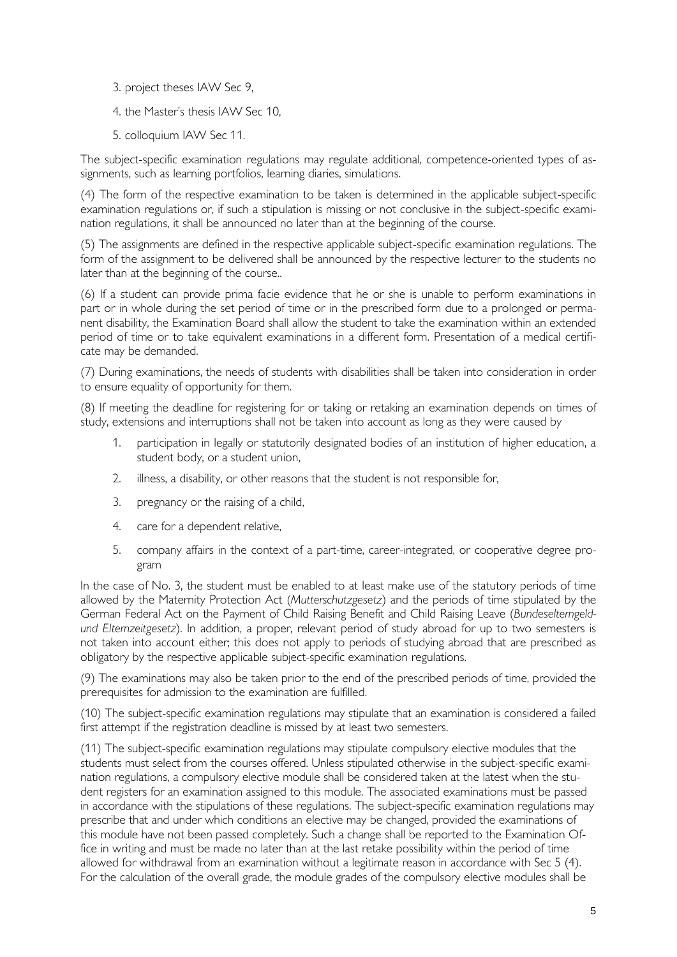3. project theses IAW Sec 9,

4. the Master's thesis IAW Sec 10,

5. colloquium IAW Sec 11.

The subject-specific examination regulations may regulate additional, competence-oriented types of assignments, such as learning portfolios, learning diaries, simulations.

(4) The form of the respective examination to be taken is determined in the applicable subject-specific examination regulations or, if such a stipulation is missing or not conclusive in the subject-specific examination regulations, it shall be announced no later than at the beginning of the course.

(5) The assignments are defined in the respective applicable subject-specific examination regulations. The form of the assignment to be delivered shall be announced by the respective lecturer to the students no later than at the beginning of the course..

(6) If a student can provide prima facie evidence that he or she is unable to perform examinations in part or in whole during the set period of time or in the prescribed form due to a prolonged or permanent disability, the Examination Board shall allow the student to take the examination within an extended period of time or to take equivalent examinations in a different form. Presentation of a medical certificate may be demanded.

(7) During examinations, the needs of students with disabilities shall be taken into consideration in order to ensure equality of opportunity for them.

(8) If meeting the deadline for registering for or taking or retaking an examination depends on times of study, extensions and interruptions shall not be taken into account as long as they were caused by

- 1. participation in legally or statutorily designated bodies of an institution of higher education, a student body, or a student union,
- 2. illness, a disability, or other reasons that the student is not responsible for,
- 3. pregnancy or the raising of a child,
- 4. care for a dependent relative,
- 5. company affairs in the context of a part-time, career-integrated, or cooperative degree program

In the case of No. 3, the student must be enabled to at least make use of the statutory periods of time allowed by the Maternity Protection Act (*Mutterschutzgesetz*) and the periods of time stipulated by the German Federal Act on the Payment of Child Raising Benefit and Child Raising Leave (*Bundeselterngeldund Elternzeitgesetz*). In addition, a proper, relevant period of study abroad for up to two semesters is not taken into account either; this does not apply to periods of studying abroad that are prescribed as obligatory by the respective applicable subject-specific examination regulations.

(9) The examinations may also be taken prior to the end of the prescribed periods of time, provided the prerequisites for admission to the examination are fulfilled.

(10) The subject-specific examination regulations may stipulate that an examination is considered a failed first attempt if the registration deadline is missed by at least two semesters.

(11) The subject-specific examination regulations may stipulate compulsory elective modules that the students must select from the courses offered. Unless stipulated otherwise in the subject-specific examination regulations, a compulsory elective module shall be considered taken at the latest when the student registers for an examination assigned to this module. The associated examinations must be passed in accordance with the stipulations of these regulations. The subject-specific examination regulations may prescribe that and under which conditions an elective may be changed, provided the examinations of this module have not been passed completely. Such a change shall be reported to the Examination Office in writing and must be made no later than at the last retake possibility within the period of time allowed for withdrawal from an examination without a legitimate reason in accordance with Sec 5 (4). For the calculation of the overall grade, the module grades of the compulsory elective modules shall be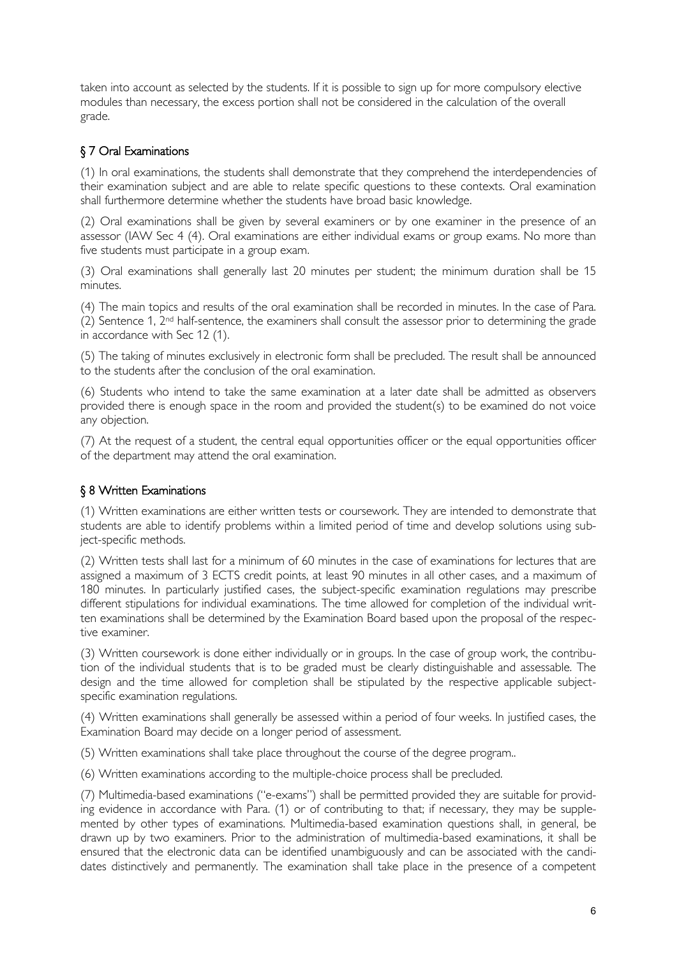taken into account as selected by the students. If it is possible to sign up for more compulsory elective modules than necessary, the excess portion shall not be considered in the calculation of the overall grade.

# <span id="page-5-0"></span>§ 7 Oral Examinations

(1) In oral examinations, the students shall demonstrate that they comprehend the interdependencies of their examination subject and are able to relate specific questions to these contexts. Oral examination shall furthermore determine whether the students have broad basic knowledge.

(2) Oral examinations shall be given by several examiners or by one examiner in the presence of an assessor (IAW Sec 4 (4). Oral examinations are either individual exams or group exams. No more than five students must participate in a group exam.

(3) Oral examinations shall generally last 20 minutes per student; the minimum duration shall be 15 minutes.

(4) The main topics and results of the oral examination shall be recorded in minutes. In the case of Para. (2) Sentence 1, 2nd half-sentence, the examiners shall consult the assessor prior to determining the grade in accordance with Sec 12 (1).

(5) The taking of minutes exclusively in electronic form shall be precluded. The result shall be announced to the students after the conclusion of the oral examination.

(6) Students who intend to take the same examination at a later date shall be admitted as observers provided there is enough space in the room and provided the student(s) to be examined do not voice any objection.

(7) At the request of a student, the central equal opportunities officer or the equal opportunities officer of the department may attend the oral examination.

### <span id="page-5-1"></span>§ 8 Written Examinations

(1) Written examinations are either written tests or coursework. They are intended to demonstrate that students are able to identify problems within a limited period of time and develop solutions using subject-specific methods.

(2) Written tests shall last for a minimum of 60 minutes in the case of examinations for lectures that are assigned a maximum of 3 ECTS credit points, at least 90 minutes in all other cases, and a maximum of 180 minutes. In particularly justified cases, the subject-specific examination regulations may prescribe different stipulations for individual examinations. The time allowed for completion of the individual written examinations shall be determined by the Examination Board based upon the proposal of the respective examiner.

(3) Written coursework is done either individually or in groups. In the case of group work, the contribution of the individual students that is to be graded must be clearly distinguishable and assessable. The design and the time allowed for completion shall be stipulated by the respective applicable subjectspecific examination regulations.

(4) Written examinations shall generally be assessed within a period of four weeks. In justified cases, the Examination Board may decide on a longer period of assessment.

(5) Written examinations shall take place throughout the course of the degree program..

(6) Written examinations according to the multiple-choice process shall be precluded.

(7) Multimedia-based examinations ("e-exams") shall be permitted provided they are suitable for providing evidence in accordance with Para. (1) or of contributing to that; if necessary, they may be supplemented by other types of examinations. Multimedia-based examination questions shall, in general, be drawn up by two examiners. Prior to the administration of multimedia-based examinations, it shall be ensured that the electronic data can be identified unambiguously and can be associated with the candidates distinctively and permanently. The examination shall take place in the presence of a competent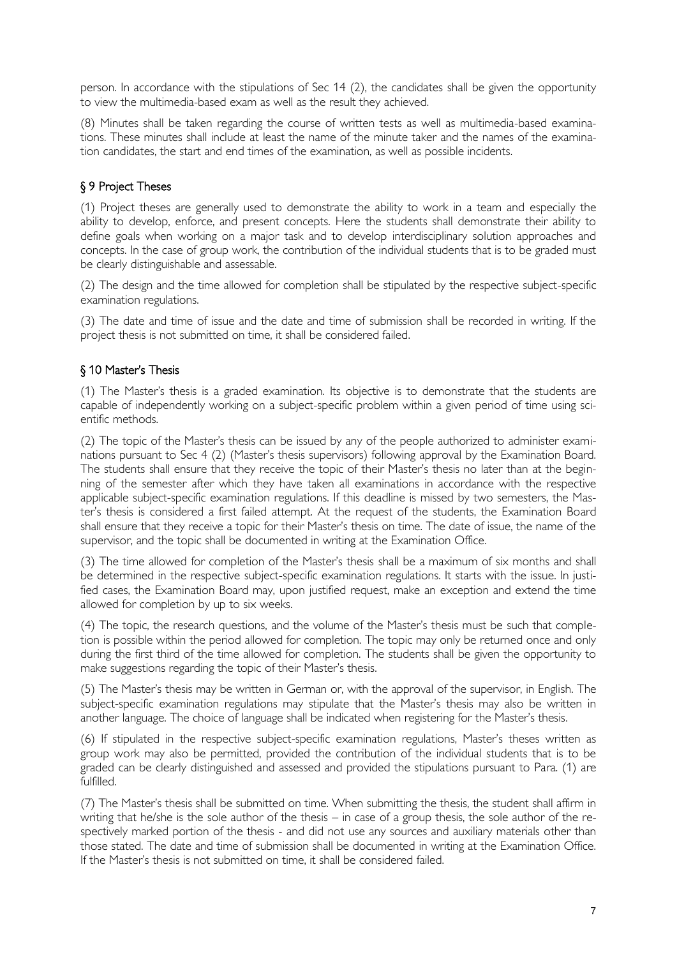person. In accordance with the stipulations of Sec 14 (2), the candidates shall be given the opportunity to view the multimedia-based exam as well as the result they achieved.

(8) Minutes shall be taken regarding the course of written tests as well as multimedia-based examinations. These minutes shall include at least the name of the minute taker and the names of the examination candidates, the start and end times of the examination, as well as possible incidents.

### <span id="page-6-0"></span>§ 9 Project Theses

(1) Project theses are generally used to demonstrate the ability to work in a team and especially the ability to develop, enforce, and present concepts. Here the students shall demonstrate their ability to define goals when working on a major task and to develop interdisciplinary solution approaches and concepts. In the case of group work, the contribution of the individual students that is to be graded must be clearly distinguishable and assessable.

(2) The design and the time allowed for completion shall be stipulated by the respective subject-specific examination regulations.

(3) The date and time of issue and the date and time of submission shall be recorded in writing. If the project thesis is not submitted on time, it shall be considered failed.

### <span id="page-6-1"></span>§ 10 Master's Thesis

(1) The Master's thesis is a graded examination. Its objective is to demonstrate that the students are capable of independently working on a subject-specific problem within a given period of time using scientific methods.

(2) The topic of the Master's thesis can be issued by any of the people authorized to administer examinations pursuant to Sec 4 (2) (Master's thesis supervisors) following approval by the Examination Board. The students shall ensure that they receive the topic of their Master's thesis no later than at the beginning of the semester after which they have taken all examinations in accordance with the respective applicable subject-specific examination regulations. If this deadline is missed by two semesters, the Master's thesis is considered a first failed attempt. At the request of the students, the Examination Board shall ensure that they receive a topic for their Master's thesis on time. The date of issue, the name of the supervisor, and the topic shall be documented in writing at the Examination Office.

(3) The time allowed for completion of the Master's thesis shall be a maximum of six months and shall be determined in the respective subject-specific examination regulations. It starts with the issue. In justified cases, the Examination Board may, upon justified request, make an exception and extend the time allowed for completion by up to six weeks.

(4) The topic, the research questions, and the volume of the Master's thesis must be such that completion is possible within the period allowed for completion. The topic may only be returned once and only during the first third of the time allowed for completion. The students shall be given the opportunity to make suggestions regarding the topic of their Master's thesis.

(5) The Master's thesis may be written in German or, with the approval of the supervisor, in English. The subject-specific examination regulations may stipulate that the Master's thesis may also be written in another language. The choice of language shall be indicated when registering for the Master's thesis.

(6) If stipulated in the respective subject-specific examination regulations, Master's theses written as group work may also be permitted, provided the contribution of the individual students that is to be graded can be clearly distinguished and assessed and provided the stipulations pursuant to Para. (1) are fulfilled.

(7) The Master's thesis shall be submitted on time. When submitting the thesis, the student shall affirm in writing that he/she is the sole author of the thesis – in case of a group thesis, the sole author of the respectively marked portion of the thesis - and did not use any sources and auxiliary materials other than those stated. The date and time of submission shall be documented in writing at the Examination Office. If the Master's thesis is not submitted on time, it shall be considered failed.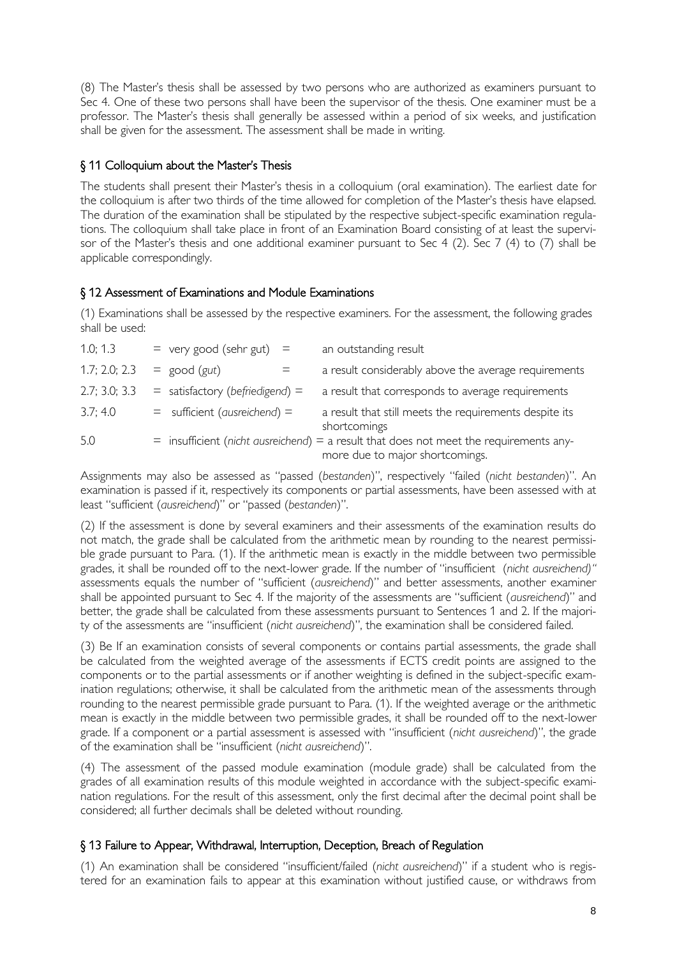(8) The Master's thesis shall be assessed by two persons who are authorized as examiners pursuant to Sec 4. One of these two persons shall have been the supervisor of the thesis. One examiner must be a professor. The Master's thesis shall generally be assessed within a period of six weeks, and justification shall be given for the assessment. The assessment shall be made in writing.

### <span id="page-7-0"></span>§ 11 Colloquium about the Master's Thesis

The students shall present their Master's thesis in a colloquium (oral examination). The earliest date for the colloquium is after two thirds of the time allowed for completion of the Master's thesis have elapsed. The duration of the examination shall be stipulated by the respective subject-specific examination regulations. The colloquium shall take place in front of an Examination Board consisting of at least the supervisor of the Master's thesis and one additional examiner pursuant to Sec 4 (2). Sec 7 (4) to (7) shall be applicable correspondingly.

# <span id="page-7-1"></span>§ 12 Assessment of Examinations and Module Examinations

(1) Examinations shall be assessed by the respective examiners. For the assessment, the following grades shall be used:

| 1.0; 1.3      | $=$ very good (sehr gut) $=$        | an outstanding result                                                                                                         |
|---------------|-------------------------------------|-------------------------------------------------------------------------------------------------------------------------------|
| 1.7; 2.0; 2.3 | $=$ good (gut)                      | a result considerably above the average requirements                                                                          |
| 2.7; 3.0; 3.3 | $=$ satisfactory (befriedigend) $=$ | a result that corresponds to average requirements                                                                             |
| 3.7; 4.0      | $=$ sufficient (ausreichend) =      | a result that still meets the requirements despite its<br>shortcomings                                                        |
| 5.0           |                                     | $=$ insufficient (nicht ausreichend) $=$ a result that does not meet the requirements any-<br>more due to major shortcomings. |

Assignments may also be assessed as "passed (*bestanden*)", respectively "failed (*nicht bestanden*)". An examination is passed if it, respectively its components or partial assessments, have been assessed with at least "sufficient (*ausreichend*)" or "passed (*bestanden*)".

(2) If the assessment is done by several examiners and their assessments of the examination results do not match, the grade shall be calculated from the arithmetic mean by rounding to the nearest permissible grade pursuant to Para. (1). If the arithmetic mean is exactly in the middle between two permissible grades, it shall be rounded off to the next-lower grade. If the number of "insufficient (*nicht ausreichend)"* assessments equals the number of "sufficient (*ausreichend*)" and better assessments, another examiner shall be appointed pursuant to Sec 4. If the majority of the assessments are "sufficient (*ausreichend*)" and better, the grade shall be calculated from these assessments pursuant to Sentences 1 and 2. If the majority of the assessments are "insufficient (*nicht ausreichend*)", the examination shall be considered failed.

(3) Be If an examination consists of several components or contains partial assessments, the grade shall be calculated from the weighted average of the assessments if ECTS credit points are assigned to the components or to the partial assessments or if another weighting is defined in the subject-specific examination regulations; otherwise, it shall be calculated from the arithmetic mean of the assessments through rounding to the nearest permissible grade pursuant to Para. (1). If the weighted average or the arithmetic mean is exactly in the middle between two permissible grades, it shall be rounded off to the next-lower grade. If a component or a partial assessment is assessed with "insufficient (*nicht ausreichend*)", the grade of the examination shall be "insufficient (*nicht ausreichend*)".

(4) The assessment of the passed module examination (module grade) shall be calculated from the grades of all examination results of this module weighted in accordance with the subject-specific examination regulations. For the result of this assessment, only the first decimal after the decimal point shall be considered; all further decimals shall be deleted without rounding.

# <span id="page-7-2"></span>§ 13 Failure to Appear, Withdrawal, Interruption, Deception, Breach of Regulation

(1) An examination shall be considered "insufficient/failed (*nicht ausreichend*)" if a student who is registered for an examination fails to appear at this examination without justified cause, or withdraws from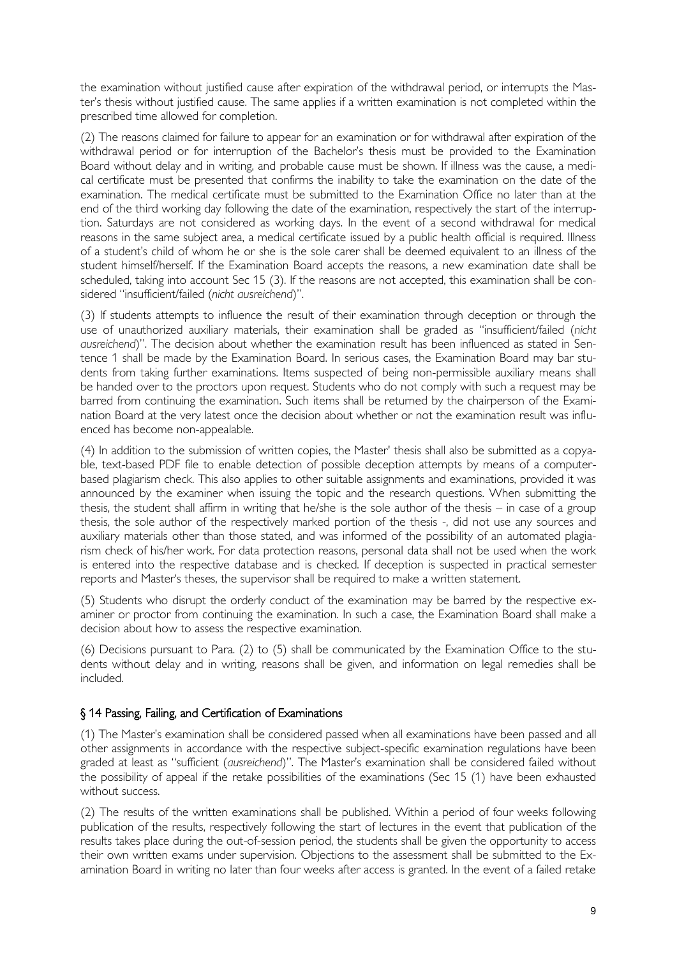the examination without justified cause after expiration of the withdrawal period, or interrupts the Master's thesis without justified cause. The same applies if a written examination is not completed within the prescribed time allowed for completion.

(2) The reasons claimed for failure to appear for an examination or for withdrawal after expiration of the withdrawal period or for interruption of the Bachelor's thesis must be provided to the Examination Board without delay and in writing, and probable cause must be shown. If illness was the cause, a medical certificate must be presented that confirms the inability to take the examination on the date of the examination. The medical certificate must be submitted to the Examination Office no later than at the end of the third working day following the date of the examination, respectively the start of the interruption. Saturdays are not considered as working days. In the event of a second withdrawal for medical reasons in the same subject area, a medical certificate issued by a public health official is required. Illness of a student's child of whom he or she is the sole carer shall be deemed equivalent to an illness of the student himself/herself. If the Examination Board accepts the reasons, a new examination date shall be scheduled, taking into account Sec 15 (3). If the reasons are not accepted, this examination shall be considered "insufficient/failed (*nicht ausreichend*)".

(3) If students attempts to influence the result of their examination through deception or through the use of unauthorized auxiliary materials, their examination shall be graded as "insufficient/failed (*nicht ausreichend*)". The decision about whether the examination result has been influenced as stated in Sentence 1 shall be made by the Examination Board. In serious cases, the Examination Board may bar students from taking further examinations. Items suspected of being non-permissible auxiliary means shall be handed over to the proctors upon request. Students who do not comply with such a request may be barred from continuing the examination. Such items shall be returned by the chairperson of the Examination Board at the very latest once the decision about whether or not the examination result was influenced has become non-appealable.

(4) In addition to the submission of written copies, the Master' thesis shall also be submitted as a copyable, text-based PDF file to enable detection of possible deception attempts by means of a computerbased plagiarism check. This also applies to other suitable assignments and examinations, provided it was announced by the examiner when issuing the topic and the research questions. When submitting the thesis, the student shall affirm in writing that he/she is the sole author of the thesis – in case of a group thesis, the sole author of the respectively marked portion of the thesis -, did not use any sources and auxiliary materials other than those stated, and was informed of the possibility of an automated plagiarism check of his/her work. For data protection reasons, personal data shall not be used when the work is entered into the respective database and is checked. If deception is suspected in practical semester reports and Master's theses, the supervisor shall be required to make a written statement.

(5) Students who disrupt the orderly conduct of the examination may be barred by the respective examiner or proctor from continuing the examination. In such a case, the Examination Board shall make a decision about how to assess the respective examination.

(6) Decisions pursuant to Para. (2) to (5) shall be communicated by the Examination Office to the students without delay and in writing, reasons shall be given, and information on legal remedies shall be included.

#### <span id="page-8-0"></span>§ 14 Passing, Failing, and Certification of Examinations

(1) The Master's examination shall be considered passed when all examinations have been passed and all other assignments in accordance with the respective subject-specific examination regulations have been graded at least as "sufficient (*ausreichend*)". The Master's examination shall be considered failed without the possibility of appeal if the retake possibilities of the examinations (Sec 15 (1) have been exhausted without success.

(2) The results of the written examinations shall be published. Within a period of four weeks following publication of the results, respectively following the start of lectures in the event that publication of the results takes place during the out-of-session period, the students shall be given the opportunity to access their own written exams under supervision. Objections to the assessment shall be submitted to the Examination Board in writing no later than four weeks after access is granted. In the event of a failed retake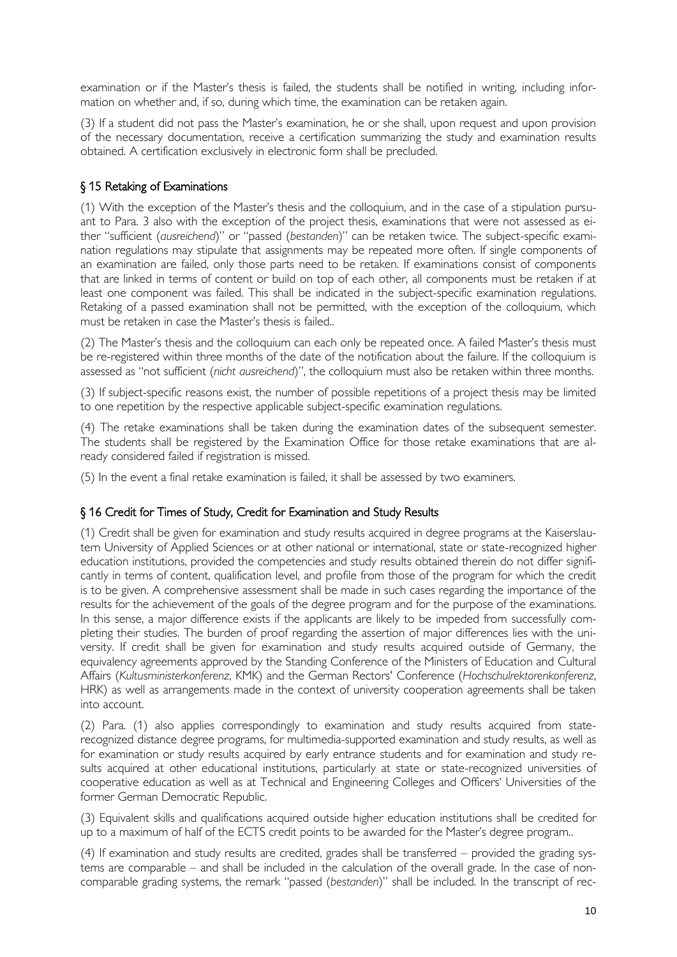examination or if the Master's thesis is failed, the students shall be notified in writing, including information on whether and, if so, during which time, the examination can be retaken again.

(3) If a student did not pass the Master's examination, he or she shall, upon request and upon provision of the necessary documentation, receive a certification summarizing the study and examination results obtained. A certification exclusively in electronic form shall be precluded.

### <span id="page-9-0"></span>§ 15 Retaking of Examinations

(1) With the exception of the Master's thesis and the colloquium, and in the case of a stipulation pursuant to Para. 3 also with the exception of the project thesis, examinations that were not assessed as either "sufficient (*ausreichend*)" or "passed (*bestanden*)" can be retaken twice. The subject-specific examination regulations may stipulate that assignments may be repeated more often. If single components of an examination are failed, only those parts need to be retaken. If examinations consist of components that are linked in terms of content or build on top of each other, all components must be retaken if at least one component was failed. This shall be indicated in the subject-specific examination regulations. Retaking of a passed examination shall not be permitted, with the exception of the colloquium, which must be retaken in case the Master's thesis is failed..

(2) The Master's thesis and the colloquium can each only be repeated once. A failed Master's thesis must be re-registered within three months of the date of the notification about the failure. If the colloquium is assessed as "not sufficient (*nicht ausreichend*)", the colloquium must also be retaken within three months.

(3) If subject-specific reasons exist, the number of possible repetitions of a project thesis may be limited to one repetition by the respective applicable subject-specific examination regulations.

(4) The retake examinations shall be taken during the examination dates of the subsequent semester. The students shall be registered by the Examination Office for those retake examinations that are already considered failed if registration is missed.

<span id="page-9-1"></span>(5) In the event a final retake examination is failed, it shall be assessed by two examiners.

### § 16 Credit for Times of Study, Credit for Examination and Study Results

(1) Credit shall be given for examination and study results acquired in degree programs at the Kaiserslautern University of Applied Sciences or at other national or international, state or state-recognized higher education institutions, provided the competencies and study results obtained therein do not differ significantly in terms of content, qualification level, and profile from those of the program for which the credit is to be given. A comprehensive assessment shall be made in such cases regarding the importance of the results for the achievement of the goals of the degree program and for the purpose of the examinations. In this sense, a major difference exists if the applicants are likely to be impeded from successfully completing their studies. The burden of proof regarding the assertion of major differences lies with the university. If credit shall be given for examination and study results acquired outside of Germany, the equivalency agreements approved by the Standing Conference of the Ministers of Education and Cultural Affairs (*Kultusministerkonferenz*, KMK) and the German Rectors' Conference (*Hochschulrektorenkonferenz*, HRK) as well as arrangements made in the context of university cooperation agreements shall be taken into account.

(2) Para. (1) also applies correspondingly to examination and study results acquired from staterecognized distance degree programs, for multimedia-supported examination and study results, as well as for examination or study results acquired by early entrance students and for examination and study results acquired at other educational institutions, particularly at state or state-recognized universities of cooperative education as well as at Technical and Engineering Colleges and Officers' Universities of the former German Democratic Republic.

(3) Equivalent skills and qualifications acquired outside higher education institutions shall be credited for up to a maximum of half of the ECTS credit points to be awarded for the Master's degree program..

(4) If examination and study results are credited, grades shall be transferred – provided the grading systems are comparable – and shall be included in the calculation of the overall grade. In the case of noncomparable grading systems, the remark "passed (*bestanden*)" shall be included. In the transcript of rec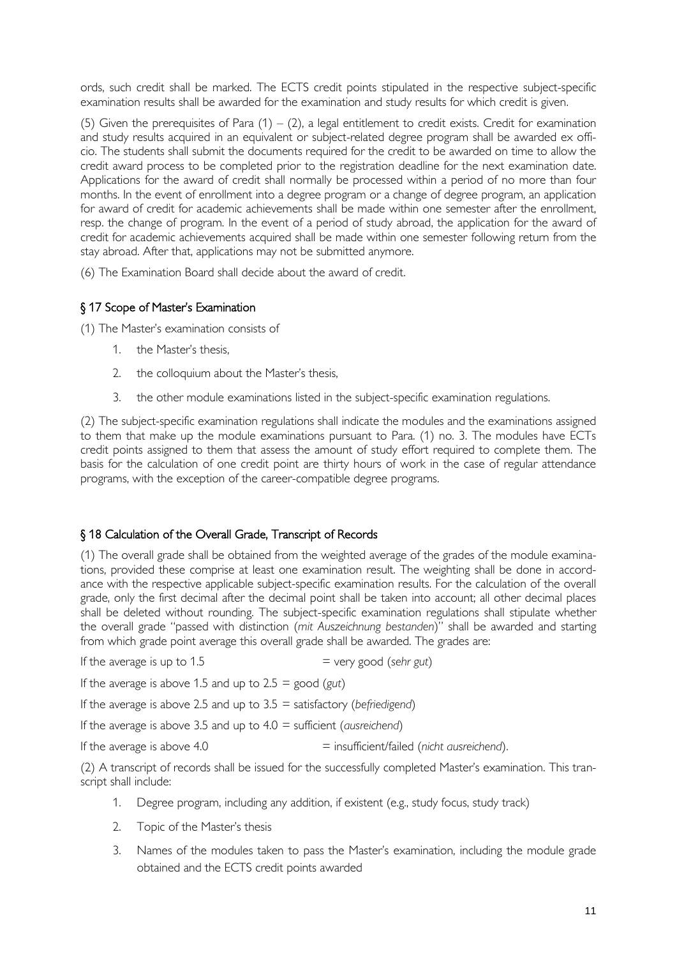ords, such credit shall be marked. The ECTS credit points stipulated in the respective subject-specific examination results shall be awarded for the examination and study results for which credit is given.

(5) Given the prerequisites of Para  $(1) - (2)$ , a legal entitlement to credit exists. Credit for examination and study results acquired in an equivalent or subject-related degree program shall be awarded ex officio. The students shall submit the documents required for the credit to be awarded on time to allow the credit award process to be completed prior to the registration deadline for the next examination date. Applications for the award of credit shall normally be processed within a period of no more than four months. In the event of enrollment into a degree program or a change of degree program, an application for award of credit for academic achievements shall be made within one semester after the enrollment, resp. the change of program. In the event of a period of study abroad, the application for the award of credit for academic achievements acquired shall be made within one semester following return from the stay abroad. After that, applications may not be submitted anymore.

<span id="page-10-0"></span>(6) The Examination Board shall decide about the award of credit.

#### § 17 Scope of Master's Examination

(1) The Master's examination consists of

- 1. the Master's thesis,
- 2. the colloquium about the Master's thesis,
- 3. the other module examinations listed in the subject-specific examination regulations.

(2) The subject-specific examination regulations shall indicate the modules and the examinations assigned to them that make up the module examinations pursuant to Para. (1) no. 3. The modules have ECTs credit points assigned to them that assess the amount of study effort required to complete them. The basis for the calculation of one credit point are thirty hours of work in the case of regular attendance programs, with the exception of the career-compatible degree programs.

### <span id="page-10-1"></span>§ 18 Calculation of the Overall Grade, Transcript of Records

(1) The overall grade shall be obtained from the weighted average of the grades of the module examinations, provided these comprise at least one examination result. The weighting shall be done in accordance with the respective applicable subject-specific examination results. For the calculation of the overall grade, only the first decimal after the decimal point shall be taken into account; all other decimal places shall be deleted without rounding. The subject-specific examination regulations shall stipulate whether the overall grade "passed with distinction (*mit Auszeichnung bestanden*)" shall be awarded and starting from which grade point average this overall grade shall be awarded. The grades are:

If the average is up to  $1.5$   $=$  very good (sehr gut)

If the average is above 1.5 and up to 2.5 = good (*gut*)

If the average is above 2.5 and up to 3.5 = satisfactory (*befriedigend*)

If the average is above 3.5 and up to 4.0 = sufficient (*ausreichend*)

If the average is above 4.0 = insufficient/failed (*nicht ausreichend*).

(2) A transcript of records shall be issued for the successfully completed Master's examination. This transcript shall include:

- 1. Degree program, including any addition, if existent (e.g., study focus, study track)
- 2. Topic of the Master's thesis
- 3. Names of the modules taken to pass the Master's examination, including the module grade obtained and the ECTS credit points awarded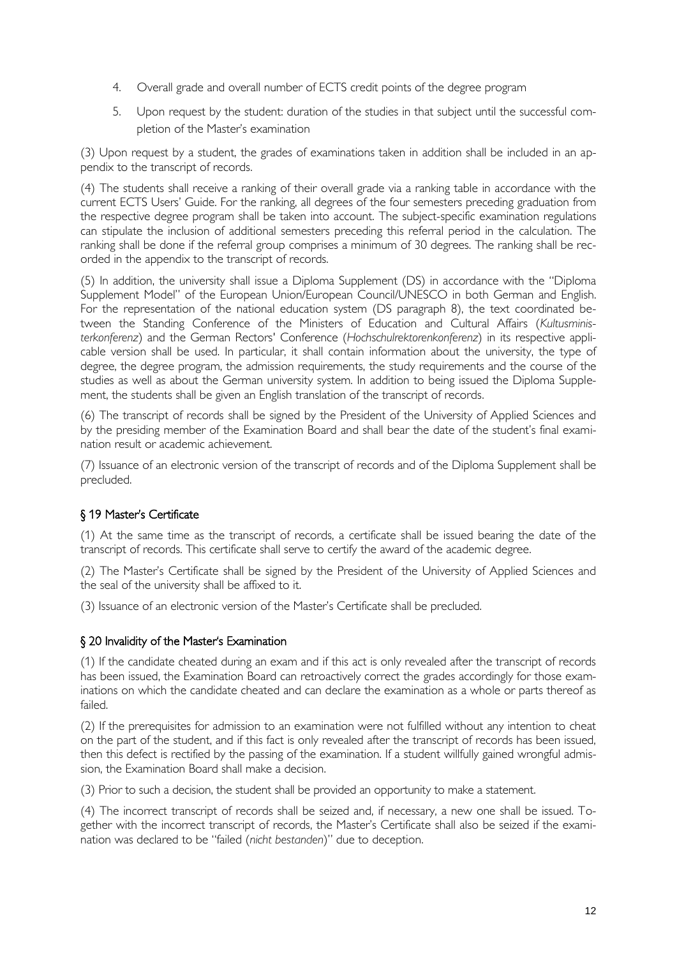- 4. Overall grade and overall number of ECTS credit points of the degree program
- 5. Upon request by the student: duration of the studies in that subject until the successful completion of the Master's examination

(3) Upon request by a student, the grades of examinations taken in addition shall be included in an appendix to the transcript of records.

(4) The students shall receive a ranking of their overall grade via a ranking table in accordance with the current ECTS Users' Guide. For the ranking, all degrees of the four semesters preceding graduation from the respective degree program shall be taken into account. The subject-specific examination regulations can stipulate the inclusion of additional semesters preceding this referral period in the calculation. The ranking shall be done if the referral group comprises a minimum of 30 degrees. The ranking shall be recorded in the appendix to the transcript of records.

(5) In addition, the university shall issue a Diploma Supplement (DS) in accordance with the "Diploma Supplement Model" of the European Union/European Council/UNESCO in both German and English. For the representation of the national education system (DS paragraph 8), the text coordinated between the Standing Conference of the Ministers of Education and Cultural Affairs (*Kultusministerkonferenz*) and the German Rectors' Conference (*Hochschulrektorenkonferenz*) in its respective applicable version shall be used. In particular, it shall contain information about the university, the type of degree, the degree program, the admission requirements, the study requirements and the course of the studies as well as about the German university system. In addition to being issued the Diploma Supplement, the students shall be given an English translation of the transcript of records.

(6) The transcript of records shall be signed by the President of the University of Applied Sciences and by the presiding member of the Examination Board and shall bear the date of the student's final examination result or academic achievement.

(7) Issuance of an electronic version of the transcript of records and of the Diploma Supplement shall be precluded.

#### <span id="page-11-0"></span>§ 19 Master's Certificate

(1) At the same time as the transcript of records, a certificate shall be issued bearing the date of the transcript of records. This certificate shall serve to certify the award of the academic degree.

(2) The Master's Certificate shall be signed by the President of the University of Applied Sciences and the seal of the university shall be affixed to it.

<span id="page-11-1"></span>(3) Issuance of an electronic version of the Master's Certificate shall be precluded.

#### § 20 Invalidity of the Master's Examination

(1) If the candidate cheated during an exam and if this act is only revealed after the transcript of records has been issued, the Examination Board can retroactively correct the grades accordingly for those examinations on which the candidate cheated and can declare the examination as a whole or parts thereof as failed.

(2) If the prerequisites for admission to an examination were not fulfilled without any intention to cheat on the part of the student, and if this fact is only revealed after the transcript of records has been issued, then this defect is rectified by the passing of the examination. If a student willfully gained wrongful admission, the Examination Board shall make a decision.

(3) Prior to such a decision, the student shall be provided an opportunity to make a statement.

(4) The incorrect transcript of records shall be seized and, if necessary, a new one shall be issued. Together with the incorrect transcript of records, the Master's Certificate shall also be seized if the examination was declared to be "failed (*nicht bestanden*)" due to deception.